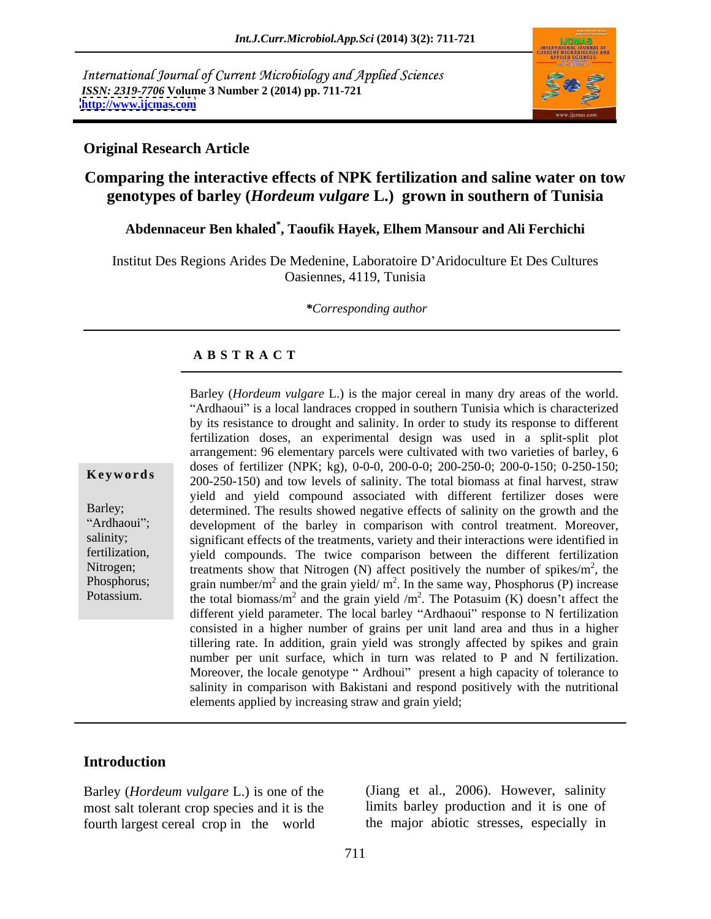International Journal of Current Microbiology and Applied Sciences *ISSN: 2319-7706* **Volume 3 Number 2 (2014) pp. 711-721 <http://www.ijcmas.com>**



#### **Original Research Article**

# **Comparing the interactive effects of NPK fertilization and saline water on tow genotypes of barley (***Hordeum vulgare* **L.) grown in southern of Tunisia**

# **Abdennaceur Ben khaled\* , Taoufik Hayek, Elhem Mansour and Ali Ferchichi**

Institut Des Regions Arides De Medenine, Laboratoire D Aridoculture Et Des Cultures Oasiennes, 4119, Tunisia

*\*Corresponding author* 

#### **A B S T R A C T**

**Keywords**  $200-250-150$ ) and tow levels of salinity. The total biomass at final harvest, straw Barley; determined. The results showed negative effects of salinity on the growth and the Ardhaoui"; development of the barley in comparison with control treatment. Moreover, salinity; significant effects of the treatments, variety and their interactions were identified in fertilization, yield compounds. The twice comparison between the different fertilization Nitrogen; treatments show that Nitrogen (N) affect positively the number of spikes/ $m<sup>2</sup>$ , the Phosphorus; grain number/m<sup>2</sup> and the grain yield/ m<sup>2</sup>. In the same way, Phosphorus (P) increase Potassium. the total biomass/m<sup>2</sup> and the grain yield /m<sup>2</sup>. The Potasuim (K) doesn't affect the Barley (*Hordeum vulgare* L.) is the major cereal in many dry areas of the world. "Ardhaoui" is a local landraces cropped in southern Tunisia which is characterized by its resistance to drought and salinity. In order to study its response to different fertilization doses, an experimental design was used in a split-split plot arrangement: 96 elementary parcels were cultivated with two varieties of barley, 6 doses of fertilizer (NPK; kg), 0-0-0, 200-0-0; 200-250-0; 200-0-150; 0-250-150; yield and yield compound associated with different fertilizer doses were  $^2$  the , the . The Potasuim (K) doesn't affect the different yield parameter. The local barley "Ardhaoui" response to N fertilization consisted in a higher number of grains per unit land area and thus in a higher tillering rate. In addition, grain yield was strongly affected by spikes and grain number per unit surface, which in turn was related to P and N fertilization. Moreover, the locale genotype "Ardhoui" present a high capacity of tolerance to salinity in comparison with Bakistani and respond positively with the nutritional elements applied by increasing straw and grain yield;

## **Introduction**

most salt tolerant crop species and it is the fourth largest cereal crop in the world

Barley (*Hordeum vulgare* L.) is one of the (Jiang et al., 2006). However, salinity limits barley production and it is one of the major abiotic stresses, especially in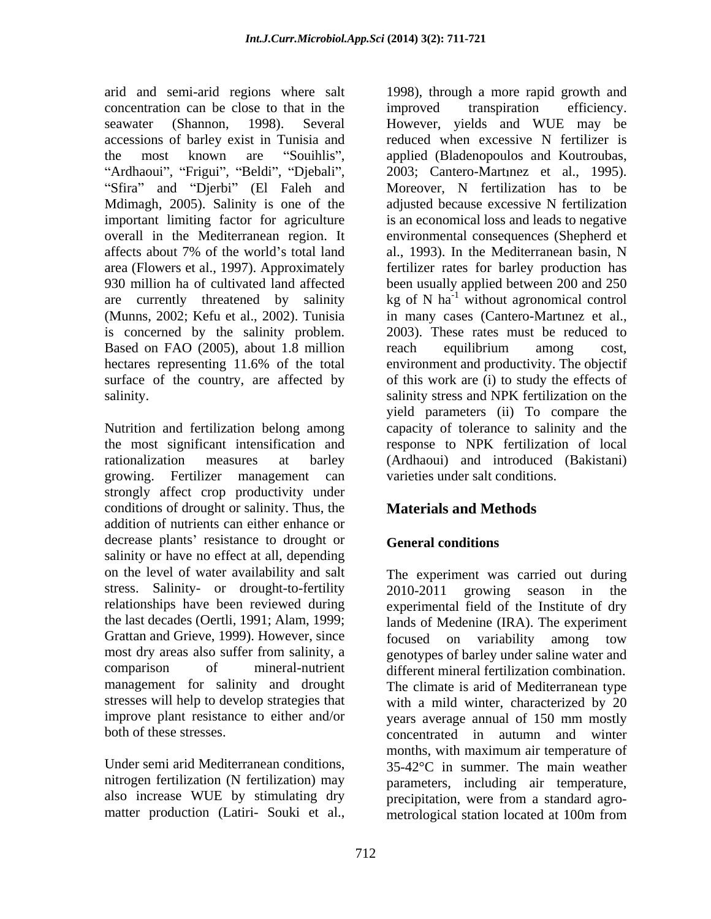concentration can be close to that in the improved transpiration efficiency. "Ardhaoui", "Frigui", "Beldi", "Djebali", Mdimagh, 2005). Salinity is one of the (Munns, 2002; Kefu et al., 2002). Tunisia in many cases (Cantero-Martinez et al., is concerned by the salinity problem. 2003). These rates must be reduced to Based on FAO (2005), about 1.8 million reach equilibrium among cost,

growing. Fertilizer management can strongly affect crop productivity under conditions of drought or salinity. Thus, the **Materials and Methods** addition of nutrients can either enhance or decrease plants' resistance to drought or **General conditions** salinity or have no effect at all, depending stress. Salinity- or drought-to-fertility 2010-2011 growing season in the the last decades (Oertli, 1991; Alam, 1999; Grattan and Grieve, 1999). However, since focused on variability among tow improve plant resistance to either and/or vears average annual of 150 mm mostly

arid and semi-arid regions where salt 1998), through a more rapid growth and seawater (Shannon, 1998). Several However, yields and WUE may be accessions of barley exist in Tunisia and reduced when excessive N fertilizer is the most known are "Souihlis", applied (Bladenopoulos and Koutroubas, Sfira" and "Djerbi" (El Faleh and Moreover, N fertilization has to be important limiting factor for agriculture is an economical loss and leads to negative overall in the Mediterranean region. It environmental consequences (Shepherd et affects about 7% of the world's total land al., 1993). In the Mediterranean basin, N area (Flowers et al., 1997). Approximately fertilizer rates for barley production has 930 million ha of cultivated land affected been usually applied between 200 and 250 are currently threatened by salinity  $\log$  of N ha<sup>-1</sup> without agronomical control hectares representing 11.6% of the total environment and productivity. The objectif surface of the country, are affected by of this work are (i) to study the effects of salinity. Salinity stress and NPK fertilization on the Nutrition and fertilization belong among capacity of tolerance to salinity and the the most significant intensification and response to NPK fertilization of local rationalization measures at barley (Ardhaoui) and introduced (Bakistani) improved transpiration efficiency. 2003; Cantero-Martinez et al., 1995). adjusted because excessive N fertilization in many cases (Cantero-Mart nez et al.,<br>2003). These rates must be reduced to reach equilibrium among cost, yield parameters (ii) To compare the varieties under salt conditions.

# **Materials and Methods**

# **General conditions**

on the level of water availability and salt The experiment was carried out during relationships have been reviewed during experimental field of the Institute of dry most dry areas also suffer from salinity, a genotypes of barley under saline water and comparison of mineral-nutrient different mineral fertilization combination. management for salinity and drought The climate is arid of Mediterranean type stresses will help to develop strategies that with a mild winter, characterized by 20 both of these stresses. concentrated in autumn and winter Under semi arid Mediterranean conditions,  $35-42^{\circ}\text{C}$  in summer. The main weather nitrogen fertilization (N fertilization) may parameters, including air temperature, also increase WUE by stimulating dry precipitation, were from a standard agro matter production (Latiri- Souki et al., metrological station located at 100m from2010-2011 growing season in the lands of Medenine (IRA). The experiment focused on variability among tow years average annual of 150 mm mostly months, with maximum air temperature of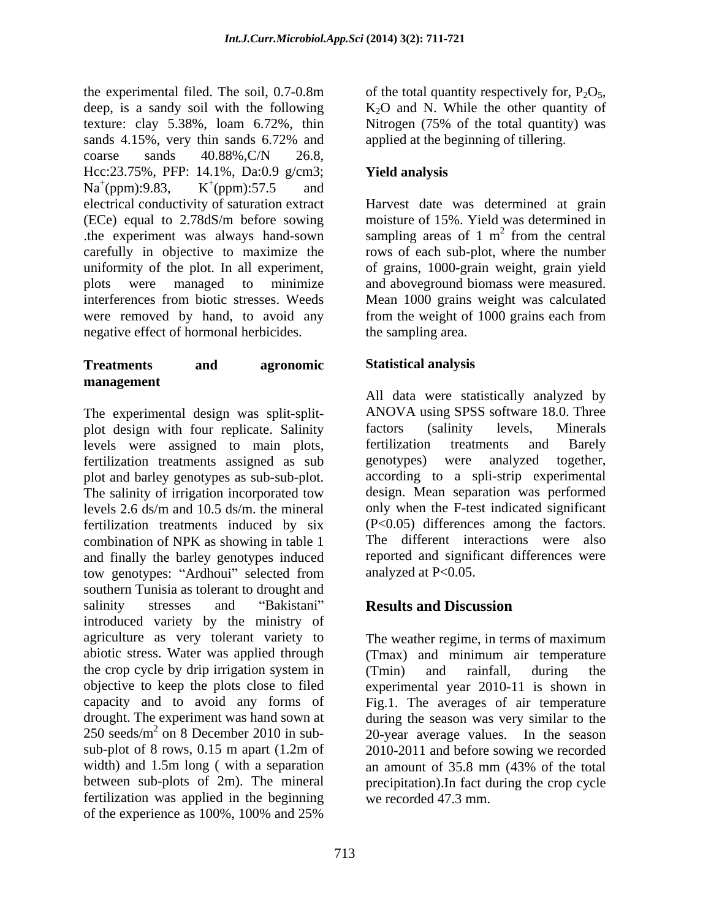the experimental filed. The soil,  $0.7{\text -}0.8\text{m}$  of the total quantity respectively for,  $P_2O_5$ , deep, is a sandy soil with the following  $K_2O$  and N. While the other quantity of texture: clay 5.38%, loam 6.72%, thin Nitrogen (75% of the total quantity) was sands 4.15%, very thin sands 6.72% and applied at the beginning of tillering.  $\text{coarse}$  sands  $40.88\%, C/N$   $26.8$ , Hcc:23.75%, PFP: 14.1%, Da:0.9 g/cm3;  $Na^+(ppm):9.83,$   $K^+(ppm):57.5$  and  $(ppm):9.83,$  K<sup>+</sup> $(ppm):57.5$  and  $^{+}(nnm)$ :57.5 and (ppm):57.5 and electrical conductivity of saturation extract Harvest date was determined at grain (ECe) equal to 2.78dS/m before sowing .the experiment was always hand-sown carefully in objective to maximize the rows of each sub-plot, where the number uniformity of the plot. In all experiment, of grains, 1000-grain weight, grain yield plots were managed to minimize and aboveground biomass were measured. interferences from biotic stresses. Weeds Mean 1000 grains weight was calculated were removed by hand, to avoid any from the weight of 1000 grains each from negative effect of hormonal herbicides.

## **Treatments and agronomic management**

The experimental design was split-split-<br>
The experimental design was split-split-<br>
The ANOVA using SPSS software 18.0. Three<br>

Ninerals<br>
Ninerals plot design with four replicate. Salinity factors (salinity levels, levels were assigned to main plots, fertilization treatments assigned as sub genotypes) were analyzed together, plot and barley genotypes as sub-sub-plot. The salinity of irrigation incorporated tow levels 2.6 ds/m and 10.5 ds/m. the mineral fertilization treatments induced by six combination of NPK as showing in table 1 and finally the barley genotypes induced and significant differences were tow genotypes: "Ardhoui" selected from analyzed at P<0.05. southern Tunisia as tolerant to drought and salinity stresses and "Bakistani" **Results and Discussion** introduced variety by the ministry of agriculture as very tolerant variety to The weather regime, in terms of maximum abiotic stress. Water was applied through (Tmax) and minimum air temperature the crop cycle by drip irrigation system in (Tmin) and rainfall, during the objective to keep the plots close to filed experimental year 2010-11 is shown in capacity and to avoid any forms of Fig.1. The averages of air temperature drought. The experiment was hand sown at during the season was very similar to the  $250 \text{ seeds/m}^2$  on 8 December 2010 in sub-<br>20-year average values. In the season sub-plot of 8 rows, 0.15 m apart (1.2m of 2010-2011 and before sowing we recorded width) and 1.5m long (with a separation an amount of 35.8 mm  $(43\% \text{ of the total})$ between sub-plots of 2m). The mineral fertilization was applied in the beginning of the experience as 100%, 100% and 25%

of the total quantity respectively for,  $P_2O_5$ ,  $K_2O$  and N. While the other quantity of Nitrogen (75% of the total quantity) was applied at the beginning of tillering.

# **Yield analysis**

moisture of 15%. Yield was determined in sampling areas of 1  $m<sup>2</sup>$  from the central  $^2$  from the control from the central from the weight of 1000 grains each from the sampling area.

# **Statistical analysis**

All data were statistically analyzed by ANOVA using SPSS software 18.0. Three factors (salinity levels, Minerals fertilization treatments and Barely genotypes) were analyzed together, according to a spli-strip experimental design. Mean separation was performed only when the F-test indicated significant (P<0.05) differences among the factors. The different interactions were also reported and significant differences were analyzed at P<0.05.

# **Results and Discussion**

The weather regime, in terms of maximum (Tmax) and minimum air temperature (Tmin) and rainfall, during the an amount of 35.8 mm (43% of the total precipitation).In fact during the crop cycle we recorded 47.3 mm.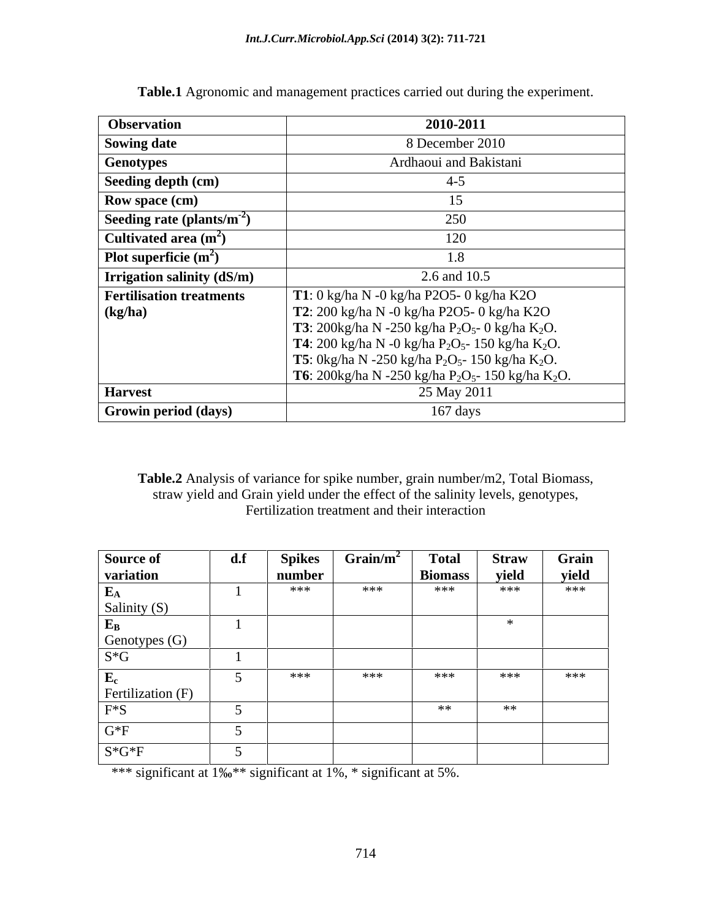| <b>Observation</b>               | 2010-2011                                                                                     |
|----------------------------------|-----------------------------------------------------------------------------------------------|
| Sowing date                      | 8 December 2010                                                                               |
| <b>Genotypes</b>                 | Ardhaoui and Bakistani                                                                        |
| Seeding depth (cm)               | $4 - 5$                                                                                       |
| Row space (cm)                   |                                                                                               |
| Seeding rate (plants/ $m^{-2}$ ) | 250                                                                                           |
| Cultivated area $(m^2)$          | 120                                                                                           |
| Plot superficie $(m^2)$          | 1.8                                                                                           |
| Trrigation salinity (dS/m)       | 2.6 and 10.5                                                                                  |
| <b>Fertilisation treatments</b>  | T1: 0 kg/ha N -0 kg/ha P2O5- 0 kg/ha K2O                                                      |
| $\log/ha$                        | T2: 200 kg/ha N -0 kg/ha P2O5- 0 kg/ha K2O                                                    |
|                                  | <b>T3</b> : 200kg/ha N -250 kg/ha P <sub>2</sub> O <sub>5</sub> - 0 kg/ha K <sub>2</sub> O.   |
|                                  | <b>T4</b> : 200 kg/ha N -0 kg/ha P <sub>2</sub> O <sub>5</sub> - 150 kg/ha K <sub>2</sub> O.  |
|                                  | <b>T5</b> : 0kg/ha N -250 kg/ha P <sub>2</sub> O <sub>5</sub> - 150 kg/ha K <sub>2</sub> O.   |
|                                  | <b>T6</b> : 200kg/ha N -250 kg/ha P <sub>2</sub> O <sub>5</sub> - 150 kg/ha K <sub>2</sub> O. |
| <b>Harvest</b>                   | 25 May 2011                                                                                   |
| <b>Growin period (days)</b>      | $167 \text{ days}$                                                                            |

**Table.1** Agronomic and management practices carried out during the experiment.

**Table.2** Analysis of variance for spike number, grain number/m2, Total Biomass, straw yield and Grain yield under the effect of the salinity levels, genotypes, Fertilization treatment and their interaction

| Source of                 | $\mathbf{d}.\mathbf{f}$ | <b>Spikes</b> | Grain/m <sup>2</sup> | <b>Total</b>   | <b>Straw</b> | Grain |
|---------------------------|-------------------------|---------------|----------------------|----------------|--------------|-------|
| variation                 |                         | number        |                      | <b>Biomass</b> | yield        | yield |
| $\mathbf{E}_{\mathbf{A}}$ |                         | ***           | ***                  | ***            | ***          | ***   |
| Salinity (S)              |                         |               |                      |                |              |       |
| ${\bf E_B}$               |                         |               |                      |                |              |       |
| Genotypes (G)             |                         |               |                      |                |              |       |
| $S*G$                     |                         |               |                      |                |              |       |
| ${\bf E_c}$               |                         | ***           | ***                  | ***            | ***          | ***   |
| Fertilization (F)         |                         |               |                      |                |              |       |
| $F^*S$                    |                         |               |                      | **             | **           |       |
| $G*F$                     |                         |               |                      |                |              |       |
| $S*G*F$                   |                         |               |                      |                |              |       |

\*\*\* significant at  $1\%$ <sup>\*\*</sup> significant at 1%, \* significant at 5%.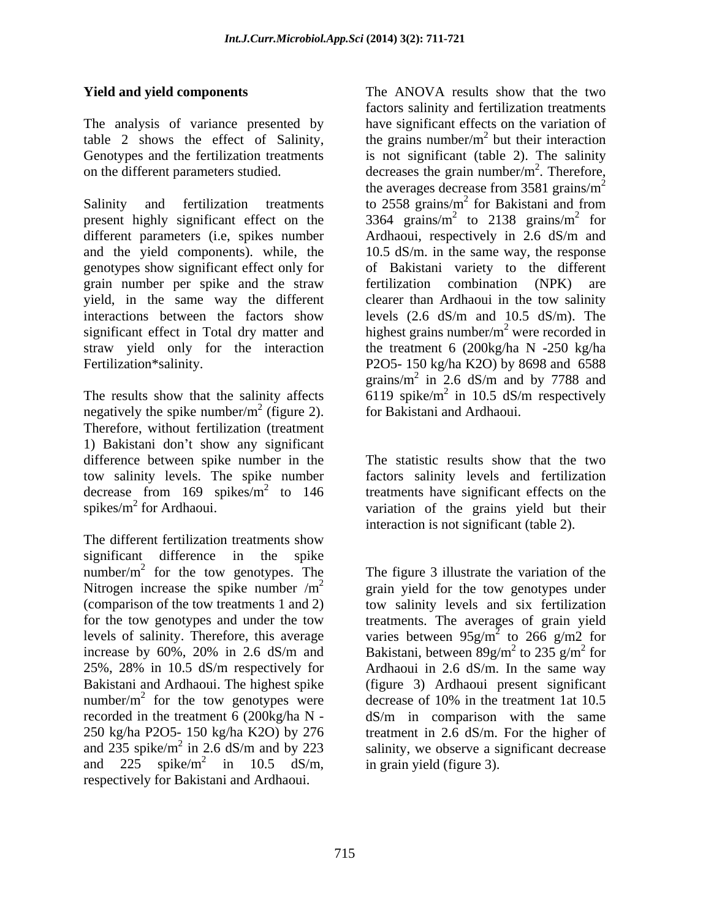The analysis of variance presented by

present highly significant effect on the  $3364$  grains/m<sup>2</sup> to 2138 grains/m<sup>2</sup> for different parameters (i.e, spikes number Ardhaoui, respectively in 2.6 dS/m and and the yield components). while, the 10.5 dS/m. in the same way, the response genotypes show significant effect only for grain number per spike and the straw fertilization combination (NPK) are yield, in the same way the different interactions between the factors show levels (2.6 dS/m and 10.5 dS/m). The significant effect in Total dry matter and  $h$  highest grains number/ $m^2$  were recorded in straw yield only for the interaction

negatively the spike number/ $m<sup>2</sup>$  (figure 2). Therefore, without fertilization (treatment 1) Bakistani don't show any significant difference between spike number in the tow salinity levels. The spike number factors salinity levels and fertilization decrease from  $169$  spikes/ $m^2$  to  $146$  treatments have significant effects on the spikes/ $m^2$  for Ardhaoui.  $\overline{\phantom{a}}$  variation of the grains yield but their

The different fertilization treatments show significant difference in the spike number/ $m^2$  for the tow genotypes. The Nitrogen increase the spike number  $/m^2$  grain yield for the tow genotypes under (comparison of the tow treatments 1 and 2) for the tow genotypes and under the tow treatments. The averages of grain yield levels of salinity. Therefore, this average varies between  $95g/m^2$  to 266 g/m2 for increase by 60%, 20% in 2.6 dS/m and Bakistani, between  $89g/m^2$  to 235 g/m<sup>2</sup> for 25%, 28% in 10.5 dS/m respectively for Ardhaoui in 2.6 dS/m. In the same way Bakistani and Ardhaoui. The highest spike (figure 3) Ardhaoui present significant number/ $m^2$  for the tow genotypes were recorded in the treatment 6 (200kg/ha N  $-$  dS/m in comparison with the same 250 kg/ha P2O5- 150 kg/ha K2O) by 276 treatment in 2.6 dS/m. For the higher of and 235 spike/ $m^2$  in 2.6 dS/m and by 223 salinity, we observe a significant decrease and 225 spike/m<sup>2</sup> in 10.5 dS/m, in grain yield (figure 3). respectively for Bakistani and Ardhaoui.

**Yield and yield components**  The ANOVA results show that the two table 2 shows the effect of Salinity, the grains number/ $m^2$  but their interaction Genotypes and the fertilization treatments is not significant (table 2). The salinity on the different parameters studied.  $\qquad \qquad$  decreases the grain number/m<sup>2</sup>. Therefore, Salinity and fertilization treatments to  $2558 \text{ grains/m}^2$  for Bakistani and from Fertilization\*salinity. P2O5- 150 kg/ha K2O) by 8698 and 6588 The results show that the salinity affects  $6119$  spike/m<sup>2</sup> in 10.5 dS/m respectively <sup>2</sup> (figure 2). for Bakistani and Ardhaoui. factors salinity and fertilization treatments have significant effects on the variation of  $^2$  but their interaction but their interaction  $\frac{2}{\pi}$  Thoroforo . Therefore, the averages decrease from  $3581 \text{ grains/m}^2$ for Bakistani and from to 2138 grains/ $m^2$  for 2 for for of Bakistani variety to the different fertilization combination (NPK) clearer than Ardhaoui in the tow salinity the treatment 6 (200kg/ha N -250 kg/ha grains/ $m^2$  in 2.6 dS/m and by 7788 and in 2.6 dS/m and by 7788 and in 10.5 dS/m respectively

> The statistic results show that the two interaction is not significant (table 2).

for the tow genotypes. The The figure 3 illustrate the variation of the <sup>2</sup> grain yield for the tow genotypes under decrease of  $10\%$  in the treatment 1at  $10.5$  $\frac{2}{2}$  in 10.5 dS/m in animal (figure 2) in  $10.5$  dS/m, in grain yield (figure 3). tow salinity levels and six fertilization  $\frac{1}{2}$  to 266 g/m<sup>2</sup> for to  $266 \text{ g/m2}$  for  $^{2}$  to 225  $\alpha/m^{2}$  for to 235  $g/m^2$  for  $^{2}$  for for decrease of 10% in the treatment 1at 10.5 in grain yield (figure 3).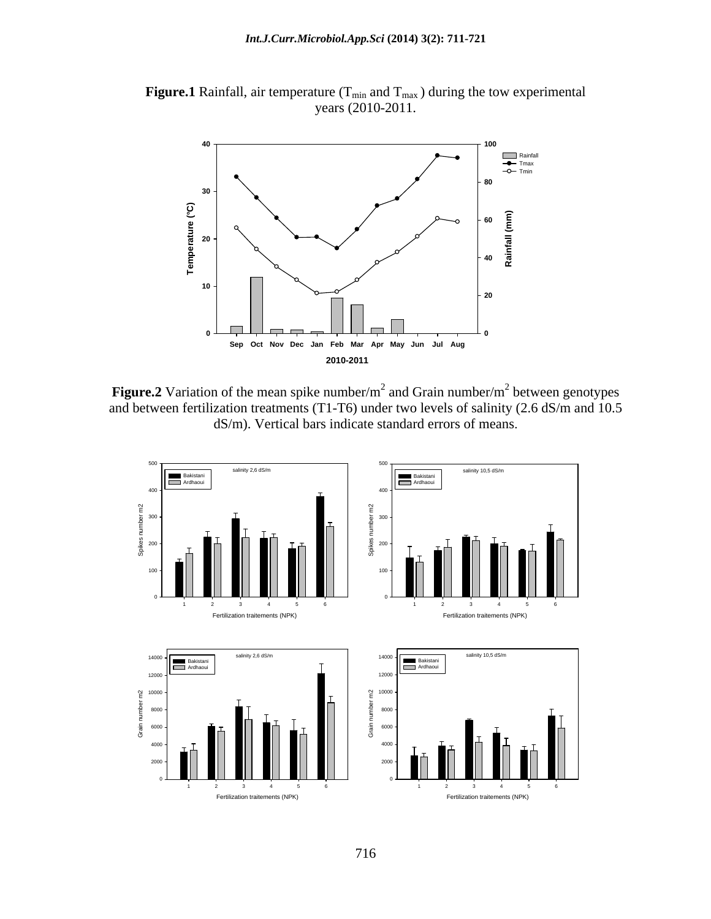**Figure.1** Rainfall, air temperature  $(T_{min}$  and  $T_{max}$ ) during the tow experimental years (2010-2011.



**Figure.2** Variation of the mean spike number/m<sup>2</sup> and Grain number/m<sup>2</sup> between genotypes and between fertilization treatments (T1-T6) under two levels of salinity (2.6 dS/m and 10.5 dS/m). Vertical bars indicate standard errors of means.

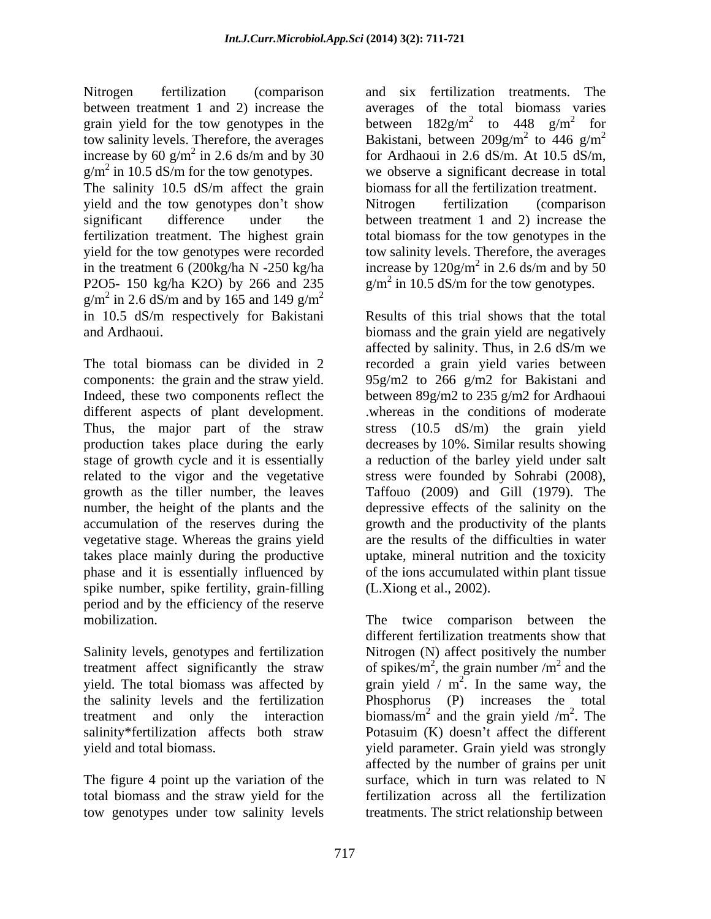between treatment 1 and 2) increase the grain yield for the tow genotypes in the  $g/m^2$  in 10.5 dS/m for the tow genotypes.

The salinity 10.5 dS/m affect the grain yield and the tow genotypes don't show Nitrogen fertilization (comparison significant difference under the between treatment 1 and 2) increase the fertilization treatment. The highest grain total biomass for the tow genotypes in the yield for the tow genotypes were recorded tow salinity levels. Therefore, the averages in the treatment 6 (200kg/ha N -250 kg/ha increase by  $120$ g/m<sup>2</sup> in 2.6 ds/m and by 50 P2O5- 150 kg/ha K2O) by 266 and 235  $g/m^2$  in 2.6 dS/m and by 165 and 149  $g/m^2$ in 2.6 dS/m and by 165 and 149 g/m<sup>2</sup> 2 in 10.5 dS/m respectively for Bakistani

different aspects of plant development. Thus, the major part of the straw production takes place during the early vegetative stage. Whereas the grains yield spike number, spike fertility, grain-filling period and by the efficiency of the reserve

salinity\*fertilization affects both straw Potasuim (K) doesn't affect the different

The figure 4 point up the variation of the surface, which in turn was related to N tow genotypes under tow salinity levels

Nitrogen fertilization (comparison and six fertilization treatments. The tow salinity levels. Therefore, the averages Bakistani, between  $209g/m^2$  to  $446 \text{ g/m}^2$ increase by 60 g/m<sup>2</sup> in 2.6 ds/m and by 30 for Ardhaoui in 2.6 dS/m. At 10.5 dS/m, we observe a significant decrease in total averages of the total biomass varies between  $182g/m^2$  to  $448 \text{ g/m}^2$  for  $182 \text{g/m}^2$  to  $448 \text{g/m}^2$  for to  $448 \text{ g/m}^2$  for 2 for for  $^{2}$  to  $446 \text{ cm}^{2}$ to 446  $g/m^2$ 2 for Ardhaoui in 2.6 dS/m. At 10.5 dS/m, we observe <sup>a</sup> significant decrease in total biomass for all the fertilization treatment. Nitrogen fertilization (comparison  $^{2}$  in 2.6 de/m and by 50 in 2.6 ds/m and by 50  $g/m^2$  in 10.5 dS/m for the tow genotypes.

and Ardhaoui. biomass and the grain yield are negatively The total biomass can be divided in 2 recorded a grain yield varies between components: the grain and the straw yield. 95g/m2 to 266 g/m2 for Bakistani and<br>Indeed, these two components reflect the between 89g/m2 to 235 g/m2 for Ardhaoui stage of growth cycle and it is essentially a reduction of the barley yield under salt related to the vigor and the vegetative stress were founded by Sohrabi (2008), growth as the tiller number, the leaves Taffouo (2009) and Gill (1979). The number, the height of the plants and the depressive effects of the salinity on the accumulation of the reserves during the growth and the productivity of the plants takes place mainly during the productive uptake, mineral nutrition and the toxicity phase and it is essentially influenced by ofthe ions accumulated within plant tissue Results of this trial shows that the total affected by salinity. Thus, in 2.6 dS/m we 95g/m2 to 266 g/m2 for Bakistani and between 89g/m2 to 235 g/m2 for Ardhaoui .whereas in the conditions of moderate stress (10.5 dS/m) the grain yield decreases by 10%. Similar results showing are the results of the difficulties in water (L.Xiong et al., 2002).

mobilization. The twice comparison between the<br>different fertilization treatments show that<br>Salinity levels, genotypes and fertilization Nitrogen (N) affect positively the number treatment affect significantly the straw of spikes/ $m^2$ , the grain number /m<sup>2</sup> and the yield. The total biomass was affected by grain yield /  $m^2$ . In the same way, the the salinity levels and the fertilization Phosphorus (P) increases the total treatment and only the interaction biomass/m<sup>2</sup> and the grain yield /m<sup>2</sup>. The yield and total biomass. yield parameter. Grain yield was strongly total biomass and the straw yield for the fertilization across all the fertilization The twice comparison between the different fertilization treatments show that Nitrogen (N) affect positively the number , the grain number  $/m^2$  and the  $^2$  and the and the . In the same way, the and the grain yield  $/m<sup>2</sup>$ . The <sup>2</sup> The . The Potasuim (K) doesn't affect the different affected by the number of grains per unit surface, which in turn was related to N treatments. The strict relationship between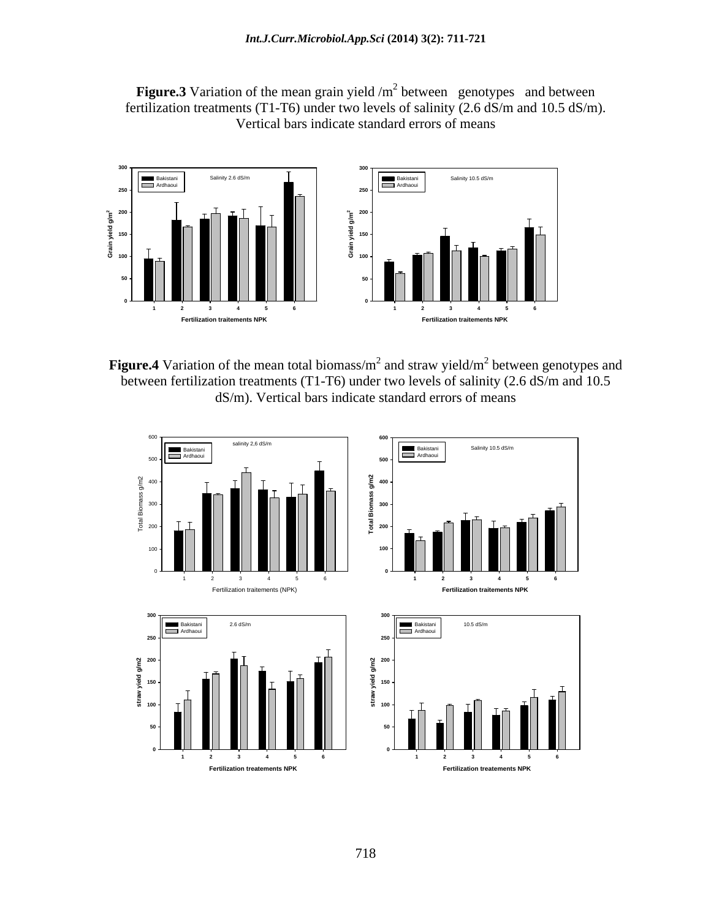



**Figure.4** Variation of the mean total biomass/m<sup>2</sup> and straw yield/m<sup>2</sup> between genotypes and between fertilization treatments (T1-T6) under two levels of salinity (2.6 dS/m and 10.5 dS/m). Vertical bars indicate standard errors of means

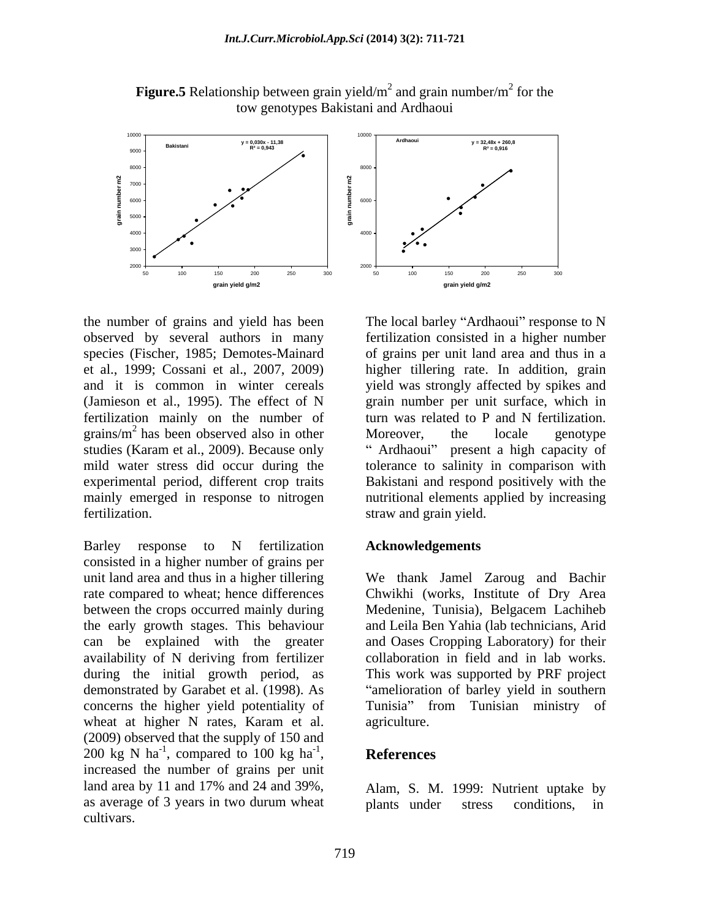

**Figure.5** Relationship between grain yield/ $m^2$  and grain number/ $m^2$  for the for the tow genotypes Bakistani and Ardhaoui

the number of grains and yield has been The local barley "Ardhaoui" response to N observed by several authors in many species (Fischer, 1985; Demotes-Mainard et al., 1999; Cossani et al., 2007, 2009) higher tillering rate. In addition, grain and it is common in winter cereals yield was strongly affected by spikes and (Jamieson et al., 1995). The effect of N grain number per unit surface, which in fertilization mainly on the number of turn was related to P and N fertilization. grains/ $m^2$  has been observed also in other Moreover, the locale genotype studies (Karam et al., 2009). Because only "Ardhaoui" present a high capacity of mild water stress did occur during the tolerance to salinity in comparison with experimental period, different crop traits Bakistani and respond positively with the mainly emerged in response to nitrogen nutritional elements applied by increasing fertilization. straw and grain yield.

Barley response to N fertilization Acknowledgements consisted in a higher number of grains per during the initial growth period, as concerns the higher yield potentiality of wheat at higher N rates, Karam et al. agriculture. (2009) observed that the supply of 150 and 200 kg N ha<sup>-1</sup>, compared to 100 kg ha<sup>-1</sup>, **References** 200 kg N ha<sup>-1</sup>, compared to 100 kg ha<sup>-1</sup>, **References**<br>increased the number of grains per unit land area by 11 and 17% and 24 and 39%, Alam, S. M. 1999: Nutrient uptake by as average of 3 years in two durum wheat plants under stress conditions, in cultivars.



fertilization consisted in a higher number of grains per unit land area and thus in a turn was related to P and N fertilization. Moreover, the locale genotype<br>"Ardhaoui" present a high capacity of

#### **Acknowledgements**

unit land area and thus in a higher tillering We thank Jamel Zaroug and Bachir rate compared to wheat; hence differences Chwikhi (works, Institute of Dry Area between the crops occurred mainly during Medenine, Tunisia), Belgacem Lachiheb the early growth stages. This behaviour and Leila Ben Yahia (lab technicians, Arid can be explained with the greater and Oases Cropping Laboratory) for their availability of N deriving from fertilizer collaboration in field and in lab works. demonstrated by Garabet et al. (1998). As amelioration of barley yield in southern This work was supported by PRF project Tunisia" from Tunisian ministry of agriculture.

#### $\mathbf{P}$ **References**

Alam, S. M. 1999: Nutrient uptake by plants under stress conditions, in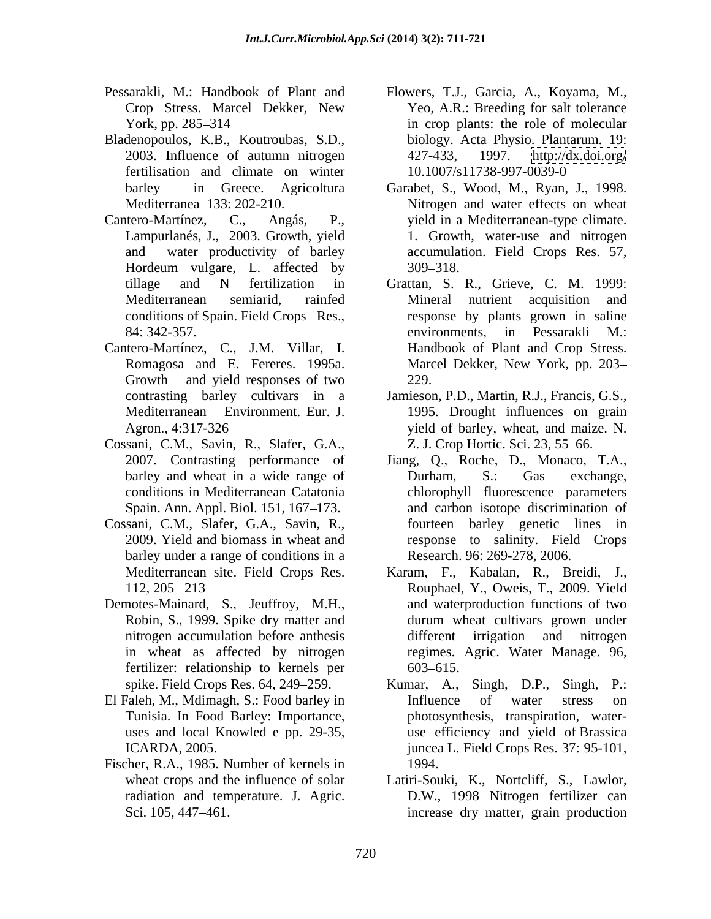- 
- Bladenopoulos, K.B., Koutroubas, S.D., 2003. Influence of autumn nitrogen fertilisation and climate on winter
- Hordeum vulgare, L. affected by 309–318. conditions of Spain. Field Crops Res.,
- Cantero-Martínez, C., J.M. Villar, I. Growth and yield responses of two 229.
- Cossani, C.M., Savin, R., Slafer, G.A.,
- Cossani, C.M., Slafer, G.A., Savin, R., barley under a range of conditions in a
- Demotes-Mainard, S., Jeuffroy, M.H., fertilizer: relationship to kernels per 603–615.
- El Faleh, M., Mdimagh, S.: Food barley in
- Fischer, R.A., 1985. Number of kernels in 1994. radiation and temperature. J. Agric.
- Pessarakli, M.: Handbook of Plant and Flowers, T.J., Garcia, A., Koyama, M., Crop Stress. Marcel Dekker, New York, pp. 285–314 **in crop plants:** the role of molecular Yeo, A.R.: Breeding for salt tolerance biology. Acta Physio. Plantarum. 19: <http://dx.doi.org/> 10.1007/s11738-997-0039-0
- barley in Greece. Agricoltura Garabet, S., Wood, M., Ryan, J., 1998. Mediterranea 133: 202-210. Nitrogen and water effects on wheat Cantero-Martínez, C., Angás, P., yield in a Mediterranean-type climate. Lampurlanés, J., 2003. Growth, yield 1. Growth, water-use and nitrogen and water productivity of barley accumulation. Field Crops Res. 57, 309 318.
	- tillage and N fertilization in Grattan, S. R., Grieve, C. M. 1999: Mediterranean semiarid, rainfed 84: 342-357. environments, in Pessarakli M.: Romagosa and E. Fereres. 1995a. Marcel Dekker, New York, pp. 203 Mineral nutrient acquisition and response by plants grown in saline environments, in Pessarakli M.: Handbook of Plant and Crop Stress. 229.
	- contrasting barley cultivars in a Jamieson, P.D., Martin, R.J., Francis, G.S., Mediterranean Environment. Eur. J. 1995. Drought influences on grain Agron., 4:317-326 yield of barley, wheat, and maize. N. Z. J. Crop Hortic. Sci. 23, 55–66.
	- 2007. Contrasting performance of Jiang, Q., Roche, D., Monaco, T.A., barley and wheat in a wide range of Durham, S.: Gas exchange, conditions in Mediterranean Catatonia chlorophyll fluorescence parameters Spain. Ann. Appl. Biol. 151, 167–173. and carbon isotope discrimination of 2009. Yield and biomass in wheat and response to salinity. Field Crops Durham, S.: Gas exchange, fourteen barley genetic lines in Research. 96: 269-278, 2006.
	- Mediterranean site. Field Crops Res. Karam, F., Kabalan, R., Breidi, J., 112, 205 213 Rouphael, Y., Oweis, T., 2009. Yield Robin, S., 1999. Spike dry matter and durum wheat cultivars grown under nitrogen accumulation before anthesis in wheat as affected by nitrogen regimes. Agric. Water Manage. 96, and waterproduction functions of two durum wheat cultivars grown under different irrigation and nitrogen 603 615.
	- spike. Field Crops Res. 64, 249–259. Kumar, A., Singh, D.P., Singh, P.: Tunisia. In Food Barley: Importance, photosynthesis, transpiration, water uses and local Knowled e pp. 29-35, use efficiency and yield of Brassica ICARDA, 2005. juncea L. Field Crops Res. 37: 95-101, Kumar, A., Singh, D.P., Influence of water stress on 1994.
	- wheat crops and the influence of solar Latiri-Souki, K., Nortcliff, S., Lawlor, Sci. 105, 447–461. D.W., 1998 Nitrogen fertilizer can